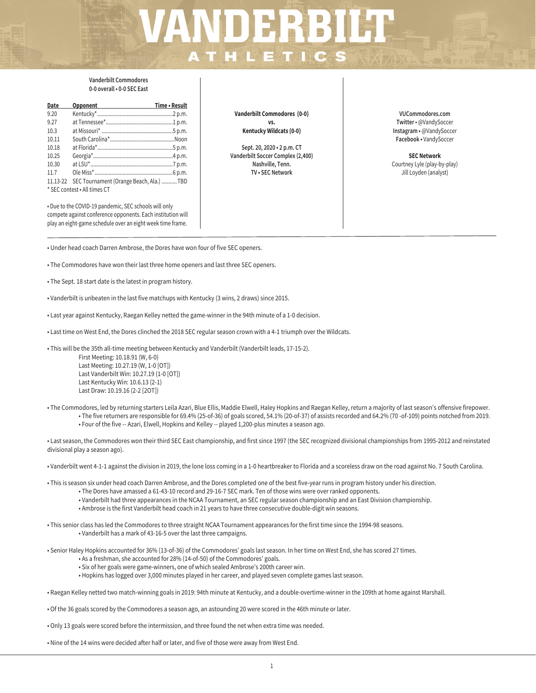# $VANDERBILT$

# **Vanderbilt Commodores 0-0 overall • 0-0 SEC East**

| Date                         | Opponent <b>Communication</b>           | Time • Result |  |  |
|------------------------------|-----------------------------------------|---------------|--|--|
| 9.20                         |                                         |               |  |  |
| 9.27                         |                                         |               |  |  |
| 10.3                         |                                         |               |  |  |
| 10.11                        |                                         |               |  |  |
| 10.18                        |                                         |               |  |  |
| 10.25                        |                                         |               |  |  |
| 10.30                        |                                         |               |  |  |
| 11.7                         |                                         |               |  |  |
| 11.13-22                     | SEC Tournament (Orange Beach, Ala.) TBD |               |  |  |
| * SEC contest . All times CT |                                         |               |  |  |

• Due to the COVID-19 pandemic, SEC schools will only compete against conference opponents. Each institution will play an eight-game schedule over an eight week time frame.

**Vanderbilt Commodores (0-0) vs. Kentucky Wildcats (0-0)**

**Sept. 20, 2020 • 2 p.m. CT Vanderbilt Soccer Complex (2,400) Nashville, Tenn. TV • SEC Network**

**VUCommodores.com Twitter** • @VandySoccer **Instagram •** @VandySoccer **Facebook •** VandySoccer

**SEC Network** Courtney Lyle (play-by-play) Jill Loyden (analyst)

- Under head coach Darren Ambrose, the Dores have won four of five SEC openers.
- The Commodores have won their last three home openers and last three SEC openers.
- The Sept. 18 start date is the latest in program history.
- Vanderbilt is unbeaten in the last five matchups with Kentucky (3 wins, 2 draws) since 2015.
- Last year against Kentucky, Raegan Kelley netted the game-winner in the 94th minute of a 1-0 decision.
- Last time on West End, the Dores clinched the 2018 SEC regular season crown with a 4-1 triumph over the Wildcats.
- This will be the 35th all-time meeting between Kentucky and Vanderbilt (Vanderbilt leads, 17-15-2).

First Meeting: 10.18.91 (W, 6-0) Last Meeting: 10.27.19 (W, 1-0 [OT]) Last Vanderbilt Win: 10.27.19 (1-0 [OT]) Last Kentucky Win: 10.6.13 (2-1) Last Draw: 10.19.16 (2-2 [2OT])

• The Commodores, led by returning starters Leila Azari, Blue Ellis, Maddie Elwell, Haley Hopkins and Raegan Kelley, return a majority of last season's offensive firepower. • The five returners are responsible for 69.4% (25-of-36) of goals scored, 54.1% (20-of-37) of assists recorded and 64.2% (70 -of-109) points notched from 2019. • Four of the five -- Azari, Elwell, Hopkins and Kelley -- played 1,200-plus minutes a season ago.

• Last season, the Commodores won their third SEC East championship, and first since 1997 (the SEC recognized divisional championships from 1995-2012 and reinstated divisional play a season ago).

• Vanderbilt went 4-1-1 against the division in 2019, the lone loss coming in a 1-0 heartbreaker to Florida and a scoreless draw on the road against No. 7 South Carolina.

- This is season six under head coach Darren Ambrose, and the Dores completed one of the best five-year runs in program history under his direction.
	- The Dores have amassed a 61-43-10 record and 29-16-7 SEC mark. Ten of those wins were over ranked opponents.
	- Vanderbilt had three appearances in the NCAA Tournament, an SEC regular season championship and an East Division championship.
	- Ambrose is the first Vanderbilt head coach in 21 years to have three consecutive double-digit win seasons.
- This senior class has led the Commodores to three straight NCAA Tournament appearances for the first time since the 1994-98 seasons. • Vanderbilt has a mark of 43-16-5 over the last three campaigns.

• Senior Haley Hopkins accounted for 36% (13-of-36) of the Commodores' goals last season. In her time on West End, she has scored 27 times.

- As a freshman, she accounted for 28% (14-of-50) of the Commodores' goals.
- Six of her goals were game-winners, one of which sealed Ambrose's 200th career win.
- Hopkins has logged over 3,000 minutes played in her career, and played seven complete games last season.
- Raegan Kelley netted two match-winning goals in 2019: 94th minute at Kentucky, and a double-overtime-winner in the 109th at home against Marshall.

• Of the 36 goals scored by the Commodores a season ago, an astounding 20 were scored in the 46th minute or later.

• Only 13 goals were scored before the intermission, and three found the net when extra time was needed.

• Nine of the 14 wins were decided after half or later, and five of those were away from West End.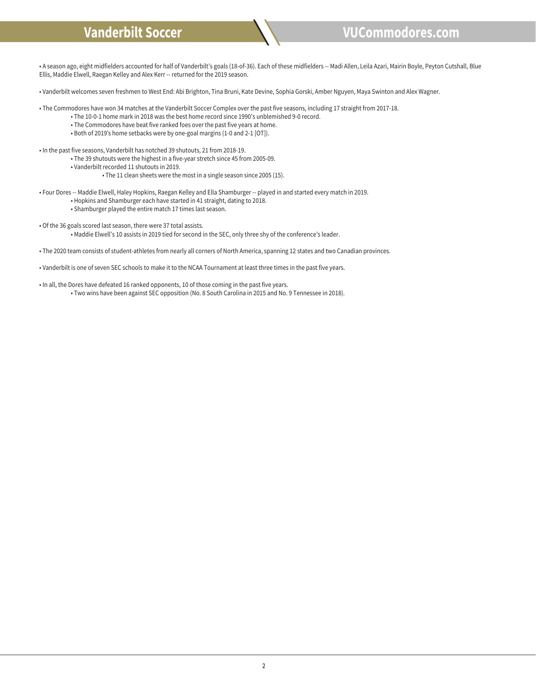

• A season ago, eight midfielders accounted for half of Vanderbilt's goals (18-of-36). Each of these midfielders -- Madi Allen, Leila Azari, Mairin Boyle, Peyton Cutshall, Blue Ellis, Maddie Elwell, Raegan Kelley and Alex Kerr -- returned for the 2019 season.

• Vanderbilt welcomes seven freshmen to West End: Abi Brighton, Tina Bruni, Kate Devine, Sophia Gorski, Amber Nguyen, Maya Swinton and Alex Wagner.

• The Commodores have won 34 matches at the Vanderbilt Soccer Complex over the past five seasons, including 17 straight from 2017-18.

- The 10-0-1 home mark in 2018 was the best home record since 1990's unblemished 9-0 record.
- The Commodores have beat five ranked foes over the past five years at home.
- Both of 2019's home setbacks were by one-goal margins (1-0 and 2-1 [OT]).

• In the past five seasons, Vanderbilt has notched 39 shutouts, 21 from 2018-19.

- The 39 shutouts were the highest in a five-year stretch since 45 from 2005-09.
- Vanderbilt recorded 11 shutouts in 2019.
	- The 11 clean sheets were the most in a single season since 2005 (15).
- Four Dores -- Maddie Elwell, Haley Hopkins, Raegan Kelley and Ella Shamburger -- played in and started every match in 2019.
	- Hopkins and Shamburger each have started in 41 straight, dating to 2018.
	- Shamburger played the entire match 17 times last season.
- Of the 36 goals scored last season, there were 37 total assists.
	- Maddie Elwell's 10 assists in 2019 tied for second in the SEC, only three shy of the conference's leader.
- The 2020 team consists of student-athletes from nearly all corners of North America, spanning 12 states and two Canadian provinces.
- Vanderbilt is one of seven SEC schools to make it to the NCAA Tournament at least three times in the past five years.
- In all, the Dores have defeated 16 ranked opponents, 10 of those coming in the past five years. • Two wins have been against SEC opposition (No. 8 South Carolina in 2015 and No. 9 Tennessee in 2018).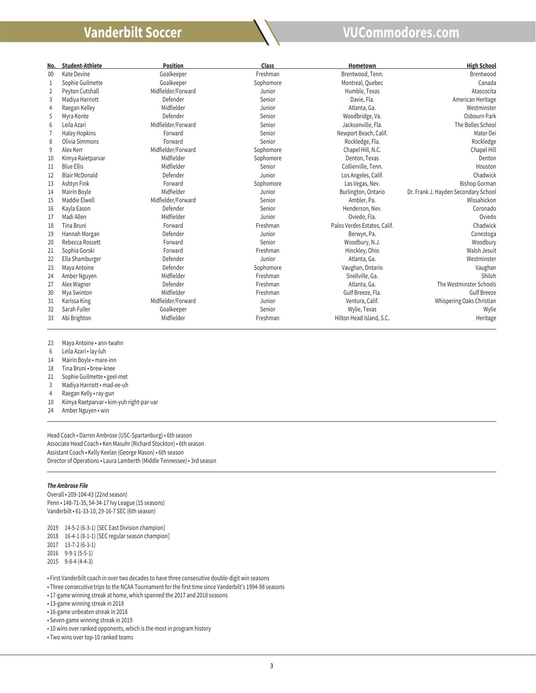

| No.            | <b>Student-Athlete</b> | <b>Position</b>    | Class     | Hometown                     | <b>High School</b>                   |
|----------------|------------------------|--------------------|-----------|------------------------------|--------------------------------------|
| 00             | Kate Devine            | Goalkeeper         | Freshman  | Brentwood, Tenn.             | Brentwood                            |
| 1              | Sophie Guilmette       | Goalkeeper         | Sophomore | Montreal, Quebec             | Canada                               |
| 2              | Peyton Cutshall        | Midfielder/Forward | Junior    | Humble, Texas                | Atascocita                           |
| 3              | Madiya Harriott        | Defender           | Senior    | Davie, Fla.                  | American Heritage                    |
| $\overline{4}$ | Raegan Kelley          | Midfielder         | Junior    | Atlanta, Ga.                 | Westminster                          |
| 5              | Myra Konte             | Defender           | Senior    | Woodbridge, Va.              | Osbourn Park                         |
| 6              | Leila Azari            | Midfielder/Forward | Senior    | Jacksonville, Fla.           | The Bolles School                    |
|                | <b>Haley Hopkins</b>   | Forward            | Senior    | Newport Beach, Calif.        | Mater Dei                            |
| 8              | Olivia Simmons         | Forward            | Senior    | Rockledge, Fla.              | Rockledge                            |
| 9              | Alex Kerr              | Midfielder/Forward | Sophomore | Chapel Hill, N.C.            | Chapel Hill                          |
| 10             | Kimya Raietparvar      | Midfielder         | Sophomore | Denton, Texas                | Denton                               |
| 11             | <b>Blue Ellis</b>      | Midfielder         | Senior    | Collierville, Tenn.          | Houston                              |
| 12             | <b>Blair McDonald</b>  | Defender           | Junior    | Los Angeles, Calif.          | Chadwick                             |
| 13             | Ashtyn Fink            | Forward            | Sophomore | Las Vegas, Nev.              | <b>Bishop Gorman</b>                 |
| 14             | Mairin Boyle           | Midfielder         | Junior    | Burlington, Ontario          | Dr. Frank J. Hayden Secondary School |
| 15             | Maddie Elwell          | Midfielder/Forward | Senior    | Ambler, Pa.                  | Wissahickon                          |
| 16             | Kayla Eason            | Defender           | Senior    | Henderson, Nev.              | Coronado                             |
| 17             | Madi Allen             | Midfielder         | Junior    | Oviedo, Fla.                 | Oviedo                               |
| 18             | Tina Bruni             | Forward            | Freshman  | Palos Verdes Estates, Calif. | Chadwick                             |
| 19             | Hannah Morgan          | Defender           | Junior    | Berwyn, Pa.                  | Conestoga                            |
| 20             | Rebecca Rossett        | Forward            | Senior    | Woodbury, N.J.               | Woodbury                             |
| 21             | Sophia Gorski          | Forward            | Freshman  | Hinckley, Ohio               | Walsh Jesuit                         |
| 22             | Ella Shamburger        | Defender           | Junior    | Atlanta, Ga.                 | Westminster                          |
| 23             | Maya Antoine           | Defender           | Sophomore | Vaughan, Ontario             | Vaughan                              |
| 24             | Amber Nguyen           | Midfielder         | Freshman  | Snellville, Ga.              | Shiloh                               |
| 27             | Alex Wagner            | Defender           | Freshman  | Atlanta, Ga.                 | The Westminster Schools              |
| 30             | Mya Swinton            | Midfielder         | Freshman  | Gulf Breeze, Fla.            | <b>Gulf Breeze</b>                   |
| 31             | Karissa King           | Midfielder/Forward | Junior    | Ventura, Calif.              | Whispering Oaks Christian            |
| 32             | Sarah Fuller           | Goalkeeper         | Senior    | Wylie, Texas                 | Wylie                                |
| 33             | Abi Brighton           | Midfielder         | Freshman  | Hilton Head Island, S.C.     | Heritage                             |

Maya Antoine • ann-twahn

Leila Azari • lay-luh

l

- Mairin Boyle mare-inn
- Tina Bruni brew-knee
- Sophie Guilmette geel-met
- Madiya Harriott mad-ee-uh
- Raegan Kelly ray-gun
- Kimya Raetparvar kim-yuh right-par-var
- Amber Nguyen win

Head Coach • Darren Ambrose (USC-Spartanburg) • 6th season Associate Head Coach • Ken Masuhr (Richard Stockton) • 6th season Assistant Coach • Kelly Keelan (George Mason) • 6th season Director of Operations • Laura Lamberth (Middle Tennessee) • 3rd season

## *The Ambrose File*

l

֦

Overall • 209-104-43 (22nd season) Penn • 148-71-35, 54-34-17 Ivy League (15 seasons) Vanderbilt • 61-33-10, 29-16-7 SEC (6th season)

14-5-2 (6-3-1) [SEC East Division champion]

16-4-1 (8-1-1) [SEC regular season champion]

- 13-7-2 (6-3-1)
- 9-9-1 (5-5-1)
- 9-8-4 (4-4-3)

• First Vanderbilt coach in over two decades to have three consecutive double-digit win seasons

- Three consecutive trips to the NCAA Tournament for the first time since Vanderbilt's 1994-98 seasons
- 17-game winning streak at home, which spanned the 2017 and 2018 seasons

• 13-game winning streak in 2018

• 16-game unbeaten streak in 2018

• Seven-game winning streak in 2019

• 10 wins over ranked opponents, which is the most in program history

• Two wins over top-10 ranked teams